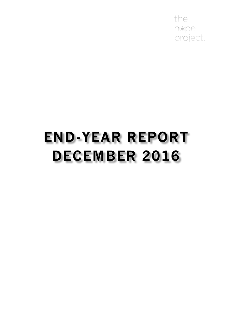the hope project.

# **END-YEAR REPORT DECEMBER 2016**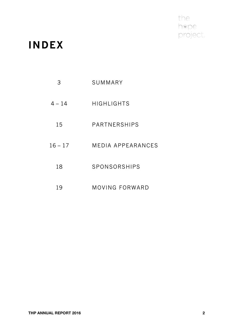the<br>hope<br>project.

### **INDEX**

| 3         | SUMMARY                  |  |
|-----------|--------------------------|--|
| $4 - 14$  | HIGHLIGHTS               |  |
| 15        | <b>PARTNERSHIPS</b>      |  |
| $16 - 17$ | <b>MEDIA APPEARANCES</b> |  |
| 18        | SPONSORSHIPS             |  |
| 19        | MOVING FORWARD           |  |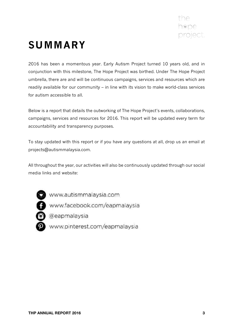

## **SUMMARY**

2016 has been a momentous year. Early Autism Project turned 10 years old, and in conjunction with this milestone, The Hope Project was birthed. Under The Hope Project umbrella, there are and will be continuous campaigns, services and resources which are readily available for our community – in line with its vision to make world-class services for autism accessible to all.

Below is a report that details the outworking of The Hope Project's events, collaborations, campaigns, services and resources for 2016. This report will be updated every term for accountability and transparency purposes.

To stay updated with this report or if you have any questions at all, drop us an email at projects@autismmalaysia.com.

All throughout the year, our activities will also be continuously updated through our social media links and website:

www.autismmalaysia.com

www.facebook.com/eapmalaysia

- @eapmalaysia
- www.pinterest.com/eapmalaysia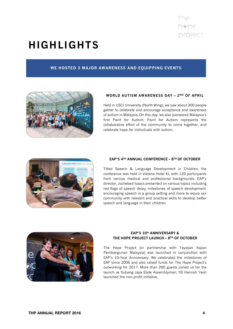

### **HIGHLIGHTS**

#### **WE HOSTED 3 MAJOR AWARENESS AND EQUIPPING EVENTS**



#### **WORLD AUTISM AWARENESS DAY – 2ND OF APRIL**

Held in USCI University (North Wing), we saw about 300 people gather to celebrate and encourage acceptance and awareness of autism in Malaysia. On this day, we also pioneered Malaysia's first Paint for Autism. Paint for Autism represents the collaborative effort of the community to come together, and celebrate hope for individuals with autism.



#### **EAP'S 4TH ANNUAL CONFERENCE – 8TH OF OCTOBER**

Titled Speech & Language Development in Children, the conference was held in Vistana Hotel KL with 120 participants from various medical and professional backgrounds. EAP's director, Jochebed Isaacs presented on various topics including red flags of speech delay, milestones of speech development, encouraging speech in a group setting and more to equip our community with relevant and practical skills to develop better speech and language in their children.



#### **EAP'S 10th ANNIVERSARY & THE HOPE PROJECT LAUNCH – 8TH OF OCTOBER**

The Hope Project (in partnership with Yayasan Kajian Pembangunan Malaysia) was launched in conjunction with EAP's 10-Year Anniversary. We celebrated the milestones of EAP since 2006 and also raised funds for The Hope Project's outworking for 2017. More than 200 guests joined us for the launch as Subang Jaya State Assemblyman, YB Hannah Yeoh launched the non-profit initiative.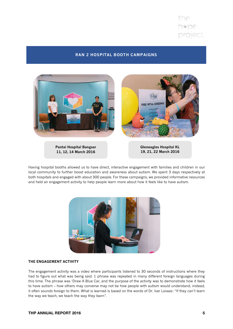

#### **RAN 2 HOSPITAL BOOTH CAMPAIGNS**



Having hospital booths allowed us to have direct, interactive engagement with families and children in our local community to further boost education and awareness about autism. We spent 3 days respectively at both hospitals and engaged with about 300 people. For these campaigns, we provided informative resources

and held an engagement activity to help people learn more about how it feels like to have autism.



#### **THE ENGAGEMENT ACTIVITY**

The engagement activity was a video where participants listened to 30 seconds of instructions where they had to figure out what was being said. 1 phrase was repeated in many different foreign languages during this time. The phrase was 'Draw A Blue Car, and the purpose of the activity was to demonstrate how it feels to have autism – how others may converse may not be how people with autism would understand, instead, it often sounds foreign to them. What is learned is based on the words of Dr. Ivar Lovaas: "If they can't learn the way we teach, we teach the way they learn".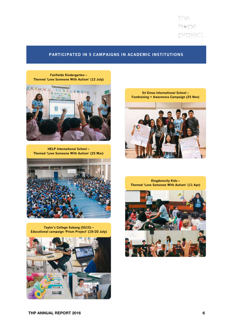

**Taylor's College Subang (SS15) – Educational campaign 'Prism Project' (19/20 July)**



**HELP International School – Themed 'Love Someone With Autism' (25 Mar)**



**Fairfields Kindergarten – Themed 'Love Someone With Autism' (12 July)**



**Sri Emas International School – Fundraising + Awareness Campaign (25 Nov)**



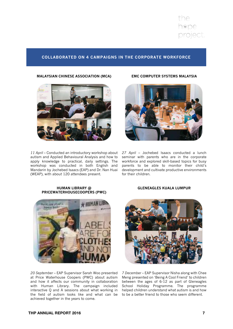the hope project.

#### **COLLABORATED ON 4 CAMPAIGNS IN THE CORPORATE WORKFORCE**

#### **MALAYSIAN CHINESE ASSOCIATION (MCA)**



*11 April* – Conducted an introductory workshop about *27 April* – Jochebed Isaacs conducted a lunch autism and Applied Behavioural Analysis and how to apply knowledge to practical, daily settings. The workshop was conducted in both English and Mandarin by Jochebed Isaacs (EAP) and Dr. Nan Huai development and cultivate productive environments (WEAP), with about 120 attendees present.

#### **EMC COMPUTER SYSTEMS MALAYSIA**



seminar with parents who are in the corporate workforce and explored skill-based topics for busy parents to be able to monitor their child's for their children.

#### **HUMAN LIBRARY @ PRICEWATERHOUSECOOPERS (PWC)**



*20 September* – EAP Supervisor Sarah Woo presented at Price Waterhouse Coopers (PWC) about autism and how it affects our community in collaboration with Human Library. The campaign included interactive Q and A sessions about what working in the field of autism looks like and what can be to be a better friend to those who seem different. achieved together in the years to come.

#### **GLENEAGLES KUALA LUMPUR**



*7 December* – EAP Supervisor Nisha along with Chee Meng presented on 'Being A Cool Friend' to children between the ages of 6-12 as part of Gleneagles School Holiday Programme. The programme helped children understand what autism is and how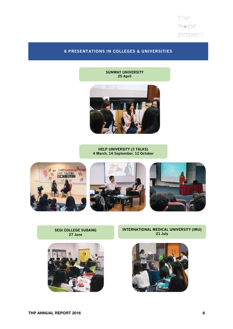the hope<br>project.

#### **6 PRESENTATIONS IN COLLEGES & UNIVERSITIES**

**SUNWAY UNIVERSITY 25 April**



#### **HELP UNIVERSITY (3 TALKS) 4 March, 14 September, 12 October**







**INTERNATIONAL MEDICAL UNIVERSITY (IMU) 21 July**



**SEGI COLLEGE SUBANG 27 June**

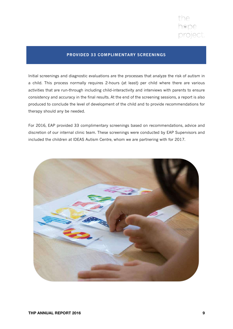

#### **PROVIDED 33 COMPLIMENTARY SCREENINGS**

Initial screenings and diagnostic evaluations are the processes that analyze the risk of autism in a child. This process normally requires 2-hours (at least) per child where there are various activities that are run-through including child-interactivity and interviews with parents to ensure consistency and accuracy in the final results. At the end of the screening sessions, a report is also produced to conclude the level of development of the child and to provide recommendations for therapy should any be needed.

For 2016, EAP provided 33 complimentary screenings based on recommendations, advice and discretion of our internal clinic team. These screenings were conducted by EAP Supervisors and included the children at IDEAS Autism Centre, whom we are partnering with for 2017.

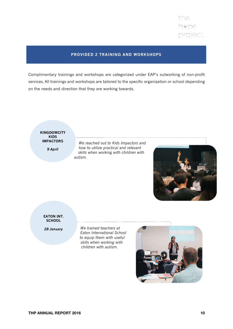

#### **PROVIDED 2 TRAINING AND WORKSHOPS**

Complimentary trainings and workshops are categorized under EAP's outworking of non-profit services. All trainings and workshops are tailored to the specific organization or school depending on the needs and direction that they are working towards.

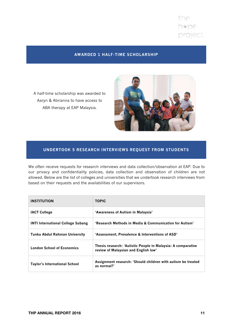

#### **AWARDED 1 HALF-TIME SCHOLARSHIP**

A half-time scholarship was awarded to Aaryn & Abrianna to have access to ABA therapy at EAP Malaysia.



#### **UNDERTOOK 5 RESEARCH INTERVIEWS REQUEST FROM STUDENTS**

We often receive requests for research interviews and data collection/observation at EAP. Due to our privacy and confidentiality policies, data collection and observation of children are not allowed. Below are the list of colleges and universities that we undertook research interviews from based on their requests and the availabilities of our supervisors.

| <b>INSTITUTION</b>                       | <b>TOPIC</b>                                                                                         |
|------------------------------------------|------------------------------------------------------------------------------------------------------|
| <b>IACT College</b>                      | 'Awareness of Autism in Malaysia'                                                                    |
| <b>INTI International College Subang</b> | 'Research Methods in Media & Communication for Autism'                                               |
| <b>Tunku Abdul Rahman University</b>     | 'Assessment, Prevalence & Interventions of ASD'                                                      |
| <b>London School of Economics</b>        | Thesis research: 'Autistic People in Malaysia: A comparative<br>review of Malaysian and English law' |
| <b>Taylor's International School</b>     | Assignment research: 'Should children with autism be treated<br>as normal?'                          |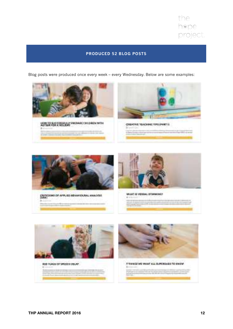

#### **PRODUCED 52 BLOG POSTS**

Blog posts were produced once every week – every Wednesday. Below are some examples:





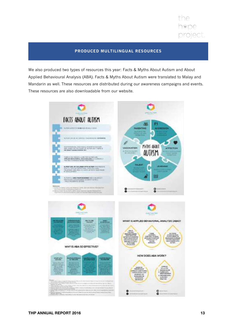

#### **PRODUCED MULTILINGUAL RESOURCES**

We also produced two types of resources this year: Facts & Myths About Autism and About Applied Behavioural Analysis (ABA). Facts & Myths About Autism were translated to Malay and Mandarin as well. These resources are distributed during our awareness campaigns and events. These resources are also downloadable from our website.

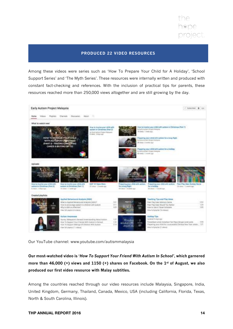

#### **PRODUCED 22 VIDEO RESOURCES**

Among these videos were series such as 'How To Prepare Your Child for A Holiday', 'School Support Series' and 'The Myth Series'. These resources were internally written and produced with constant fact-checking and references. With the inclusion of practical tips for parents, these resources reached more than 250,000 views altogether and are still growing by the day.



Our YouTube channel: www.youtube.com/autismmalaysia

**Our most-watched video is '***How To Support Your Friend With Autism In School'***, which garnered more than 46,000 (+) views and 1150 (+) shares on Facebook. On the 1st of August, we also produced our first video resource with Malay subtitles.** 

Among the countries reached through our video resources include Malaysia, Singapore, India, United Kingdom, Germany, Thailand, Canada, Mexico, USA (including California, Florida, Texas, North & South Carolina, Illinois).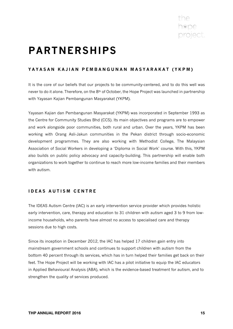### **PARTNERSHIPS**

#### **YAYASAN KAJIAN PEMBANGUNAN MASYARAKAT (YKPM)**

It is the core of our beliefs that our projects to be community-centered, and to do this well was never to do it alone. Therefore, on the 8<sup>th</sup> of October, the Hope Project was launched in partnership with Yayasan Kajian Pembangunan Masyarakat (YKPM).

Yayasan Kajian dan Pembangunan Masyarakat (YKPM) was incorporated in September 1993 as the Centre for Community Studies Bhd (CCS). Its main objectives and programs are to empower and work alongside poor communities, both rural and urban. Over the years, YKPM has been working with Orang Asli-Jakun communities in the Pekan district through socio-economic development programmes. They are also working with Methodist College, The Malaysian Association of Social Workers in developing a 'Diploma in Social Work' course. With this, YKPM also builds on public policy advocacy and capacity-building. This partnership will enable both organizations to work together to continue to reach more low-income families and their members with autism.

#### **IDEAS AUTISM CENTRE**

The IDEAS Autism Centre (IAC) is an early intervention service provider which provides holistic early intervention, care, therapy and education to 31 children with autism aged 3 to 9 from lowincome households, who parents have almost no access to specialised care and therapy sessions due to high costs.

Since its inception in December 2012, the IAC has helped 17 children gain entry into mainstream government schools and continues to support children with autism from the bottom 40 percent through its services, which has in turn helped their families get back on their feet. The Hope Project will be working with IAC has a pilot initiative to equip the IAC educators in Applied Behavioural Analysis (ABA), which is the evidence-based treatment for autism, and to strengthen the quality of services produced.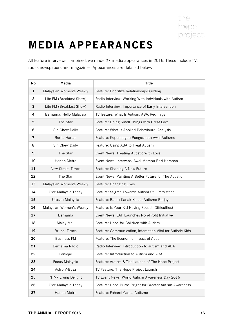

### **MEDIA APPEARANCES**

All feature interviews combined, we made 27 media appearances in 2016. These include TV, radio, newspapers and magazines. Appearances are detailed below:

| No             | Media                    | <b>Title</b>                                                |  |
|----------------|--------------------------|-------------------------------------------------------------|--|
| 1              | Malaysian Women's Weekly | Feature: Prioritize Relationship-Building                   |  |
| $\overline{2}$ | Lite FM (Breakfast Show) | Radio Interview: Working With Indviduals with Autism        |  |
| 3              | Lite FM (Breakfast Show) | Radio Interview: Importance of Early Intervention           |  |
| 4              | Bernama: Hello Malaysia  | TV feature: What Is Autism, ABA, Red flags                  |  |
| 5              | The Star                 | Feature: Doing Small Things with Great Love                 |  |
| 6              | Sin Chew Daily           | Feature: What Is Applied Behavioural Analysis               |  |
| 7              | Berita Harian            | Feature: Kepentingan Pengesanan Awal Autisme                |  |
| 8              | Sin Chew Daily           | Feature: Using ABA to Treat Autism                          |  |
| 9              | The Star                 | Event News: Treating Autistic With Love                     |  |
| 10             | Harian Metro             | Event News: Intervensi Awal Mampu Beri Harapan              |  |
| 11             | <b>New Straits Times</b> | Feature: Shaping A New Future                               |  |
| 12             | The Star                 | Event News: Painting A Better Future for The Autistic       |  |
| 13             | Malaysian Women's Weekly | Feature: Changing Lives                                     |  |
| 14             | Free Malaysia Today      | Feature: Stigma Towards Autism Still Persistent             |  |
| 15             | Utusan Malaysia          | Feature: Bantu Kanak-Kanak Autisme Berjaya                  |  |
| 16             | Malaysian Women's Weekly | Feature: Is Your Kid Having Speech Difficulties?            |  |
| 17             | Bernama                  | Event News: EAP Launches Non-Profit Initiative              |  |
| 18             | Malay Mail               | Feature: Hope for Children with Autism                      |  |
| 19             | <b>Brunei Times</b>      | Feature: Communication, Interaction Vital for Autistic Kids |  |
| 20             | <b>Business FM</b>       | Feature: The Economic Impact of Autism                      |  |
| 21             | Bernama Radio            | Radio Interview: Introduction to autism and ABA             |  |
| 22             | Laniege                  | Feature: Introduction to Autism and ABA                     |  |
| 23             | Focus Malaysia           | Feature: Autism & The Launch of The Hope Project            |  |
| 24             | Astro V-Buzz             | TV Feature: The Hope Project Launch                         |  |
| 25             | NTV7 Living Delight      | TV Event News: World Autism Awareness Day 2016              |  |
| 26             | Free Malaysia Today      | Feature: Hope Burns Bright for Greater Autism Awareness     |  |
| 27             | Harian Metro             | Feature: Fahami Gejala Autisme                              |  |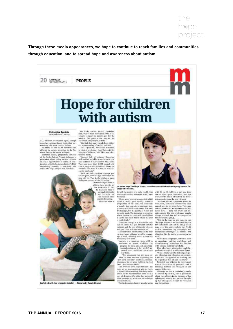

**Through these media appearances, we hope to continue to reach families and communities through education, and to spread hope and awareness about autism.**

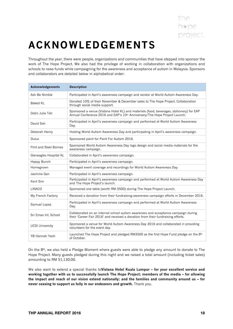## **ACKNOWLEDGEMENTS**

Throughout the year, there were people, organizations and communities that have stepped into sponsor the work of The Hope Project. We also had the privilege of working in collaboration with organizations and schools to raise funds while campaigning for the awareness and acceptance of autism in Malaysia. Sponsors and collaborators are detailed below in alphabetical order:

| <b>Acknowledgements</b> | <b>Description</b>                                                                                                                                                     |  |
|-------------------------|------------------------------------------------------------------------------------------------------------------------------------------------------------------------|--|
| Ash Be Nimble           | Participated in April's awareness campaign and vendor at World Autism Awareness Day.                                                                                   |  |
| Baked KL                | Donated 10% of their November & December sales to The Hope Project. Collaboration<br>through social media support.                                                     |  |
| Datin Julie Teh         | Sponsored a venue (Vistana Hotel KL) and materials (food, beverages, stationery) for EAP<br>Annual Conference 2016 and EAP's 10th Anniversary/The Hope Project Launch. |  |
| David Soh               | Participated in April's awareness campaign and performed at World Autism Awareness<br>Day.                                                                             |  |
| Deborah Henry           | Hosting World Autism Awareness Day and participating in April's awareness campaign.                                                                                    |  |
| Dulux                   | Sponsored paint for Paint For Autism 2016.                                                                                                                             |  |
| Flint and Steel Borneo  | Sponsored World Autism Awareness Day logo design and social media materials for the<br>awareness campaign.                                                             |  |
| Gleneagles Hospital KL  | Collaborated in April's awareness campaign.                                                                                                                            |  |
| Happy Bunch             | Participated in April's awareness campaign.                                                                                                                            |  |
| Homegrown               | Managed event coverage and recordings for World Autism Awareness Day.                                                                                                  |  |
| Jasmine Gan             | Participated in April's awareness campaign.                                                                                                                            |  |
| Kent Sim                | Participated in April's awareness campaign and performed at World Autism Awareness Day<br>and The Hope Project's launch.                                               |  |
| <b>LINACO</b>           | Sponsored one table (worth RM 3500) during The Hope Project Launch.                                                                                                    |  |
| My French Factory       | Received a donation from their fundraising-awareness campaign efforts in December 2016.                                                                                |  |
| Samuel Lopez            | Participated in April's awareness campaign and performed at World Autism Awareness<br>Day.                                                                             |  |
| Sri Emas Int. School    | Collaborated on an internal school autism awareness and acceptance campaign during<br>their 'Career Fair 2016' and received a donation from their fundraising efforts. |  |
| <b>UCSI University</b>  | Sponsored a venue for World Autism Awareness Day 2016 and collaborated in providing<br>volunteers for the event day.                                                   |  |
| YB Hannah Yeoh          | Launched The Hope Project and pledged RM3500 as the first Hope Fund pledge on the $8th$<br>of October.                                                                 |  |

On the 8th, we also held a Pledge Moment where guests were able to pledge any amount to donate to The Hope Project. Many guests pledged during this night and we raised a total amount (including ticket sales) amounting to RM 51,130.00.

We also want to extend a special thanks to**Vistana Hotel Kuala Lumpur – for your excellent service and working together with us to successfully launch The Hope Project; members of the media – for allowing the impact and reach of our vision extend nationally; and the families and community around us – for never ceasing to support us fully in our endeavors and growth.** Thank you.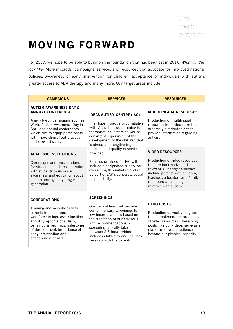

### **MOVING FORWARD**

For 2017, we hope to be able to build on the foundation that has been set in 2016. *What will this look like?* More impactful campaigns, services and resources that advocate for improved national policies, awareness of early intervention for children, acceptance of individuals with autism, greater access to ABA therapy and many more. Our target areas include:

| <b>SERVICES</b>                                                                                                                                                                                                                                                                                            | <b>RESOURCES</b>                                                                                                                                                                                                               |
|------------------------------------------------------------------------------------------------------------------------------------------------------------------------------------------------------------------------------------------------------------------------------------------------------------|--------------------------------------------------------------------------------------------------------------------------------------------------------------------------------------------------------------------------------|
| <b>IDEAS AUTISM CENTRE (IAC)</b>                                                                                                                                                                                                                                                                           | <b>MULTILINGUAL RESOURCES</b>                                                                                                                                                                                                  |
| The Hope Project's pilot initiative<br>with IAC will include training for<br>therapists, educators as well as<br>consistent supervision of the<br>development of the children that<br>is aimed at strengthening the                                                                                        | Production of multilingual<br>resources in printed form that<br>are freely distributable that<br>provide information regarding<br>autism.                                                                                      |
| provided.                                                                                                                                                                                                                                                                                                  | <b>VIDEO RESOURCES</b>                                                                                                                                                                                                         |
| Services provided for IAC will<br>include a designated supervisor<br>overseeing this initiative and will<br>be part of EAP's corporate social<br>responsibility.                                                                                                                                           | Production of video resources<br>that are informative and<br>relevant. Our target audience<br>include parents with children,<br>teachers, educators and family<br>members with siblings or<br>relatives with autism.           |
| <b>SCREENINGS</b><br>Our clinical team will provide<br>complimentary screenings to<br>low-income families based on<br>the discretion of our advisor's<br>and recommendations. A<br>screening typically takes<br>between 2-3 hours which<br>includes child-play and interview<br>sessions with the parents. | <b>BLOG POSTS</b><br>Production of weekly blog posts<br>that compliment the production<br>of video resources. These blog<br>posts, like our videos, serve as a<br>platform to reach audiences<br>beyond our physical capacity. |
|                                                                                                                                                                                                                                                                                                            | practice and quality of services                                                                                                                                                                                               |